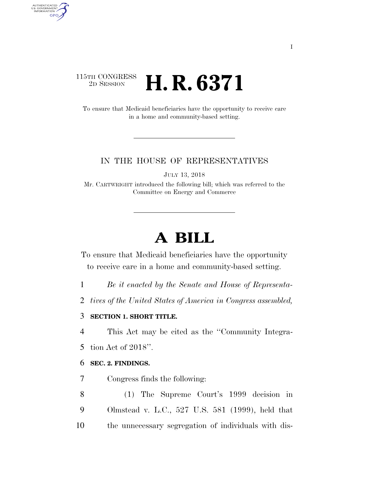## 115TH CONGRESS <sup>2D SESSION</sup> **H. R. 6371**

AUTHENTICATED<br>U.S. GOVERNMENT<br>INFORMATION

**GPO** 

To ensure that Medicaid beneficiaries have the opportunity to receive care in a home and community-based setting.

#### IN THE HOUSE OF REPRESENTATIVES

JULY 13, 2018

Mr. CARTWRIGHT introduced the following bill; which was referred to the Committee on Energy and Commerce

# **A BILL**

To ensure that Medicaid beneficiaries have the opportunity to receive care in a home and community-based setting.

1 *Be it enacted by the Senate and House of Representa-*

2 *tives of the United States of America in Congress assembled,* 

### 3 **SECTION 1. SHORT TITLE.**

4 This Act may be cited as the ''Community Integra-

5 tion Act of 2018''.

#### 6 **SEC. 2. FINDINGS.**

7 Congress finds the following:

8 (1) The Supreme Court's 1999 decision in 9 Olmstead v. L.C., 527 U.S. 581 (1999), held that 10 the unnecessary segregation of individuals with dis-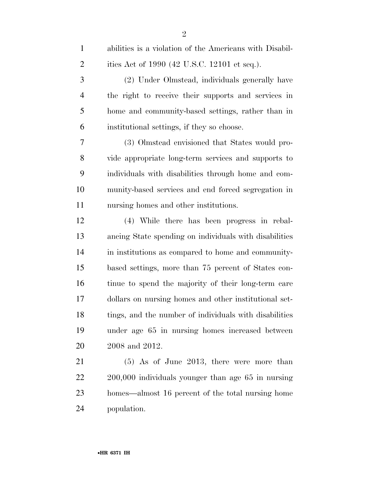| $\mathbf{1}$   | abilities is a violation of the Americans with Disabil- |
|----------------|---------------------------------------------------------|
| $\overline{2}$ | ities Act of 1990 (42 U.S.C. 12101 et seq.).            |
| 3              | (2) Under Olmstead, individuals generally have          |
| $\overline{4}$ | the right to receive their supports and services in     |
| 5              | home and community-based settings, rather than in       |
| 6              | institutional settings, if they so choose.              |
| 7              | (3) Olmstead envisioned that States would pro-          |
| 8              | vide appropriate long-term services and supports to     |
| 9              | individuals with disabilities through home and com-     |
| 10             | munity-based services and end forced segregation in     |
| 11             | nursing homes and other institutions.                   |
| 12             | (4) While there has been progress in rebal-             |
| 13             | ancing State spending on individuals with disabilities  |
| 14             | in institutions as compared to home and community-      |
| 15             | based settings, more than 75 percent of States con-     |
| 16             | tinue to spend the majority of their long-term care     |
| 17             | dollars on nursing homes and other institutional set-   |
| 18             | tings, and the number of individuals with disabilities  |
| 19             | under age 65 in nursing homes increased between         |
| 20             | 2008 and 2012.                                          |
| 21             | $(5)$ As of June 2013, there were more than             |
| 22             | 200,000 individuals younger than age 65 in nursing      |
| 23             | homes—almost 16 percent of the total nursing home       |
|                |                                                         |

population.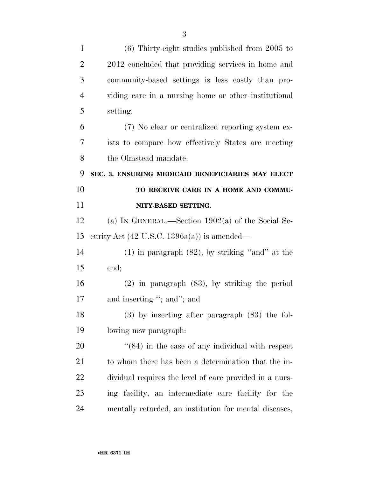| $\mathbf{1}$   | $(6)$ Thirty-eight studies published from 2005 to       |
|----------------|---------------------------------------------------------|
| $\overline{2}$ | 2012 concluded that providing services in home and      |
| 3              | community-based settings is less costly than pro-       |
| $\overline{4}$ | viding care in a nursing home or other institutional    |
| 5              | setting.                                                |
| 6              | (7) No clear or centralized reporting system ex-        |
| 7              | ists to compare how effectively States are meeting      |
| 8              | the Olmstead mandate.                                   |
| 9              | SEC. 3. ENSURING MEDICAID BENEFICIARIES MAY ELECT       |
| 10             | TO RECEIVE CARE IN A HOME AND COMMU-                    |
| 11             | NITY-BASED SETTING.                                     |
| 12             | (a) IN GENERAL.—Section $1902(a)$ of the Social Se-     |
| 13             | curity Act $(42 \text{ U.S.C. } 1396a(a))$ is amended—  |
| 14             | $(1)$ in paragraph $(82)$ , by striking "and" at the    |
| 15             | end;                                                    |
| 16             | $(2)$ in paragraph $(83)$ , by striking the period      |
| 17             | and inserting "; and"; and                              |
| 18             | $(3)$ by inserting after paragraph $(83)$ the fol-      |
| 19             | lowing new paragraph:                                   |
| 20             | $\cdot$ (84) in the case of any individual with respect |
| 21             | to whom there has been a determination that the in-     |
| 22             | dividual requires the level of care provided in a nurs- |
| 23             | ing facility, an intermediate care facility for the     |
| 24             | mentally retarded, an institution for mental diseases,  |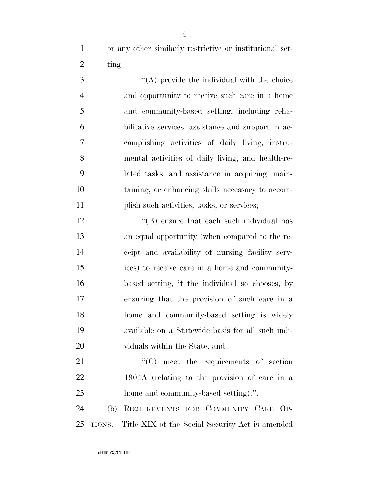or any other similarly restrictive or institutional set-2  $\times$  ting—

 ''(A) provide the individual with the choice and opportunity to receive such care in a home and community-based setting, including reha- bilitative services, assistance and support in ac- complishing activities of daily living, instru- mental activities of daily living, and health-re- lated tasks, and assistance in acquiring, main- taining, or enhancing skills necessary to accom-plish such activities, tasks, or services;

12 ''(B) ensure that each such individual has an equal opportunity (when compared to the re- ceipt and availability of nursing facility serv- ices) to receive care in a home and community- based setting, if the individual so chooses, by ensuring that the provision of such care in a home and community-based setting is widely available on a Statewide basis for all such indi-viduals within the State; and

21 "'(C) meet the requirements of section 1904A (relating to the provision of care in a home and community-based setting).''.

 (b) REQUIREMENTS FOR COMMUNITY CARE OP-TIONS.—Title XIX of the Social Security Act is amended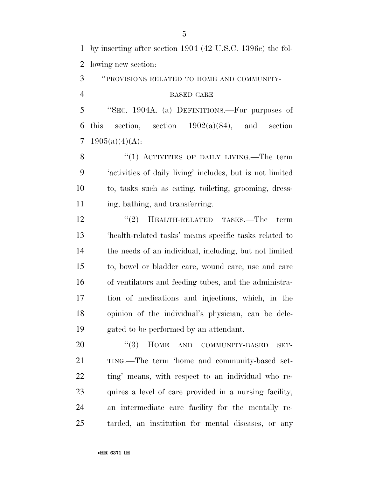by inserting after section 1904 (42 U.S.C. 1396c) the fol-lowing new section:

''PROVISIONS RELATED TO HOME AND COMMUNITY-

#### BASED CARE

 ''SEC. 1904A. (a) DEFINITIONS.—For purposes of 6 this section, section  $1902(a)(84)$ , and section 7 1905(a)(4)(A):

8 "(1) ACTIVITIES OF DAILY LIVING.—The term 'activities of daily living' includes, but is not limited to, tasks such as eating, toileting, grooming, dress-11 ing, bathing, and transferring.

12 ''(2) HEALTH-RELATED TASKS.—The term 'health-related tasks' means specific tasks related to the needs of an individual, including, but not limited to, bowel or bladder care, wound care, use and care of ventilators and feeding tubes, and the administra- tion of medications and injections, which, in the opinion of the individual's physician, can be dele-gated to be performed by an attendant.

20 "(3) HOME AND COMMUNITY-BASED SET- TING.—The term 'home and community-based set- ting' means, with respect to an individual who re- quires a level of care provided in a nursing facility, an intermediate care facility for the mentally re-tarded, an institution for mental diseases, or any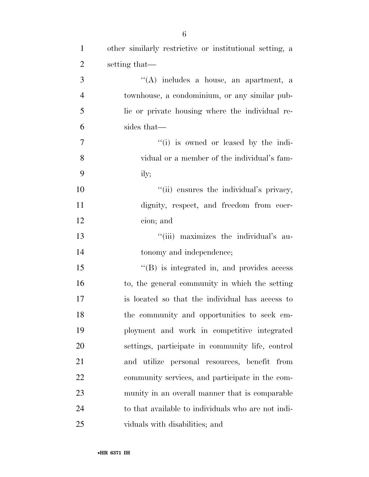| $\overline{2}$ | setting that—                                      |
|----------------|----------------------------------------------------|
| 3              | "(A) includes a house, an apartment, a             |
| $\overline{4}$ | townhouse, a condominium, or any similar pub-      |
| 5              | lic or private housing where the individual re-    |
| 6              | sides that—                                        |
| $\overline{7}$ | "(i) is owned or leased by the indi-               |
| 8              | vidual or a member of the individual's fam-        |
| 9              | ily;                                               |
| 10             | "(ii) ensures the individual's privacy,            |
| 11             | dignity, respect, and freedom from coer-           |
| 12             | cion; and                                          |
| 13             | "(iii) maximizes the individual's au-              |
| 14             | tonomy and independence;                           |
| 15             | $\cdot$ (B) is integrated in, and provides access  |
| 16             | to, the general community in which the setting     |
| 17             | is located so that the individual has access to    |
| 18             | the community and opportunities to seek em-        |
| 19             | ployment and work in competitive integrated        |
| 20             | settings, participate in community life, control   |
| 21             | and utilize personal resources, benefit from       |
| 22             | community services, and participate in the com-    |
| 23             | munity in an overall manner that is comparable     |
| 24             | to that available to individuals who are not indi- |
| 25             | viduals with disabilities; and                     |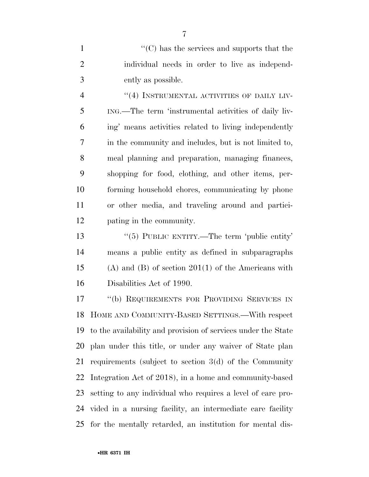1  $\langle ^{\prime}(C) \rangle$  has the services and supports that the individual needs in order to live as independ-ently as possible.

 $(4)$  INSTRUMENTAL ACTIVITIES OF DAILY LIV- ING.—The term 'instrumental activities of daily liv- ing' means activities related to living independently in the community and includes, but is not limited to, meal planning and preparation, managing finances, shopping for food, clothing, and other items, per- forming household chores, communicating by phone or other media, and traveling around and partici-pating in the community.

13 "(5) PUBLIC ENTITY.—The term 'public entity' means a public entity as defined in subparagraphs (A) and (B) of section 201(1) of the Americans with Disabilities Act of 1990.

 ''(b) REQUIREMENTS FOR PROVIDING SERVICES IN HOME AND COMMUNITY-BASED SETTINGS.—With respect to the availability and provision of services under the State plan under this title, or under any waiver of State plan requirements (subject to section 3(d) of the Community Integration Act of 2018), in a home and community-based setting to any individual who requires a level of care pro- vided in a nursing facility, an intermediate care facility for the mentally retarded, an institution for mental dis-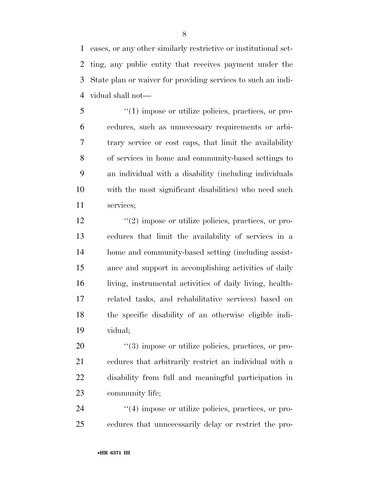eases, or any other similarly restrictive or institutional set- ting, any public entity that receives payment under the State plan or waiver for providing services to such an indi-vidual shall not—

 ''(1) impose or utilize policies, practices, or pro- cedures, such as unnecessary requirements or arbi- trary service or cost caps, that limit the availability of services in home and community-based settings to an individual with a disability (including individuals with the most significant disabilities) who need such services;

 $\frac{u(2)}{2}$  impose or utilize policies, practices, or pro- cedures that limit the availability of services in a home and community-based setting (including assist- ance and support in accomplishing activities of daily living, instrumental activities of daily living, health- related tasks, and rehabilitative services) based on the specific disability of an otherwise eligible indi-vidual;

 $(3)$  impose or utilize policies, practices, or pro- cedures that arbitrarily restrict an individual with a disability from full and meaningful participation in community life;

24  $\frac{1}{4}$  impose or utilize policies, practices, or pro-cedures that unnecessarily delay or restrict the pro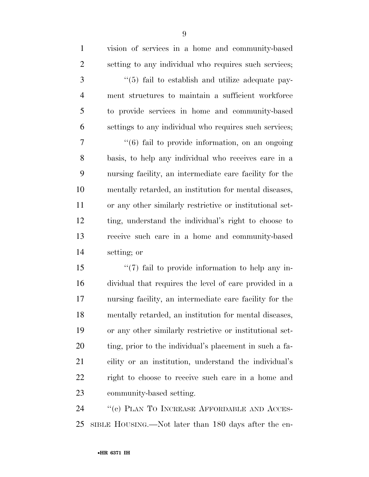vision of services in a home and community-based setting to any individual who requires such services;

3 "(5) fail to establish and utilize adequate pay- ment structures to maintain a sufficient workforce to provide services in home and community-based settings to any individual who requires such services;

 ''(6) fail to provide information, on an ongoing basis, to help any individual who receives care in a nursing facility, an intermediate care facility for the mentally retarded, an institution for mental diseases, or any other similarly restrictive or institutional set- ting, understand the individual's right to choose to receive such care in a home and community-based setting; or

15 ''(7) fail to provide information to help any in- dividual that requires the level of care provided in a nursing facility, an intermediate care facility for the mentally retarded, an institution for mental diseases, or any other similarly restrictive or institutional set- ting, prior to the individual's placement in such a fa- cility or an institution, understand the individual's right to choose to receive such care in a home and community-based setting.

24 "(c) PLAN TO INCREASE AFFORDABLE AND ACCES-SIBLE HOUSING.—Not later than 180 days after the en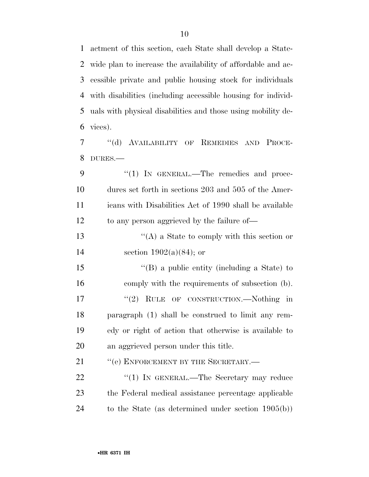actment of this section, each State shall develop a State- wide plan to increase the availability of affordable and ac- cessible private and public housing stock for individuals with disabilities (including accessible housing for individ- uals with physical disabilities and those using mobility de-vices).

 ''(d) AVAILABILITY OF REMEDIES AND PROCE-DURES.—

9 "(1) IN GENERAL.—The remedies and proce- dures set forth in sections 203 and 505 of the Amer- icans with Disabilities Act of 1990 shall be available 12 to any person aggrieved by the failure of—

13 ''(A) a State to comply with this section or section 1902(a)(84); or

15 "(B) a public entity (including a State) to comply with the requirements of subsection (b). 17 "(2) RULE OF CONSTRUCTION.—Nothing in paragraph (1) shall be construed to limit any rem- edy or right of action that otherwise is available to an aggrieved person under this title.

21 " (e) ENFORCEMENT BY THE SECRETARY.—

22 "(1) IN GENERAL.—The Secretary may reduce the Federal medical assistance percentage applicable to the State (as determined under section 1905(b))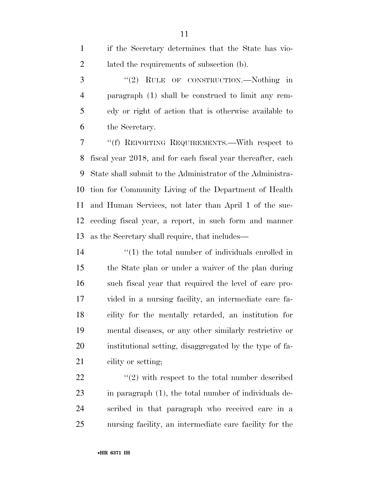if the Secretary determines that the State has vio-2 lated the requirements of subsection (b). 3 "(2) RULE OF CONSTRUCTION.—Nothing in paragraph (1) shall be construed to limit any rem- edy or right of action that is otherwise available to the Secretary. ''(f) REPORTING REQUIREMENTS.—With respect to fiscal year 2018, and for each fiscal year thereafter, each State shall submit to the Administrator of the Administra-tion for Community Living of the Department of Health

 and Human Services, not later than April 1 of the suc- ceeding fiscal year, a report, in such form and manner as the Secretary shall require, that includes—

14 ''(1) the total number of individuals enrolled in the State plan or under a waiver of the plan during such fiscal year that required the level of care pro- vided in a nursing facility, an intermediate care fa- cility for the mentally retarded, an institution for mental diseases, or any other similarly restrictive or institutional setting, disaggregated by the type of fa-21 cility or setting;

 $\langle \langle 2 \rangle$  with respect to the total number described in paragraph (1), the total number of individuals de- scribed in that paragraph who received care in a nursing facility, an intermediate care facility for the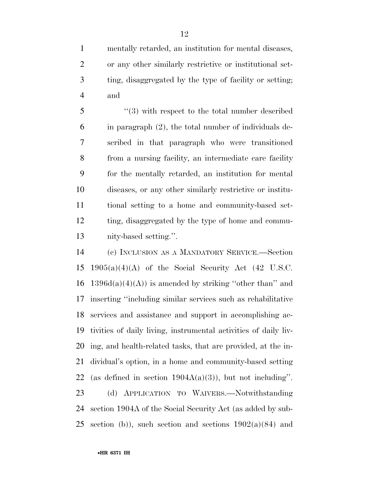mentally retarded, an institution for mental diseases, or any other similarly restrictive or institutional set- ting, disaggregated by the type of facility or setting; and

5 "(3) with respect to the total number described in paragraph (2), the total number of individuals de- scribed in that paragraph who were transitioned from a nursing facility, an intermediate care facility for the mentally retarded, an institution for mental diseases, or any other similarly restrictive or institu- tional setting to a home and community-based set- ting, disaggregated by the type of home and commu-nity-based setting.''.

 (c) INCLUSION AS A MANDATORY SERVICE.—Section 15 1905(a)(4)(A) of the Social Security Act (42 U.S.C. 16 1396d(a)(4)(A)) is amended by striking "other than" and inserting ''including similar services such as rehabilitative services and assistance and support in accomplishing ac- tivities of daily living, instrumental activities of daily liv- ing, and health-related tasks, that are provided, at the in- dividual's option, in a home and community-based setting 22 (as defined in section  $1904A(a)(3)$ ), but not including". (d) APPLICATION TO WAIVERS.—Notwithstanding section 1904A of the Social Security Act (as added by sub-25 section (b)), such section and sections  $1902(a)(84)$  and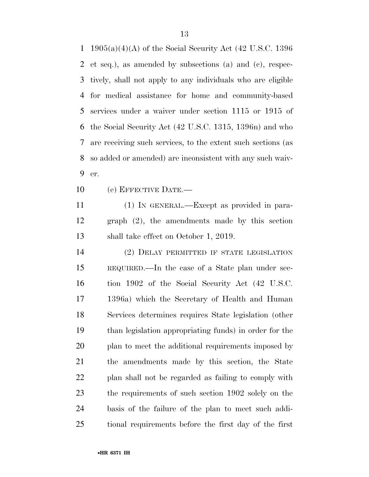1905(a)(4)(A) of the Social Security Act (42 U.S.C. 1396 et seq.), as amended by subsections (a) and (c), respec- tively, shall not apply to any individuals who are eligible for medical assistance for home and community-based services under a waiver under section 1115 or 1915 of the Social Security Act (42 U.S.C. 1315, 1396n) and who are receiving such services, to the extent such sections (as so added or amended) are inconsistent with any such waiv-er.

(e) EFFECTIVE DATE.—

 (1) IN GENERAL.—Except as provided in para- graph (2), the amendments made by this section shall take effect on October 1, 2019.

 (2) DELAY PERMITTED IF STATE LEGISLATION REQUIRED.—In the case of a State plan under sec- tion 1902 of the Social Security Act (42 U.S.C. 1396a) which the Secretary of Health and Human Services determines requires State legislation (other than legislation appropriating funds) in order for the plan to meet the additional requirements imposed by the amendments made by this section, the State plan shall not be regarded as failing to comply with the requirements of such section 1902 solely on the basis of the failure of the plan to meet such addi-tional requirements before the first day of the first